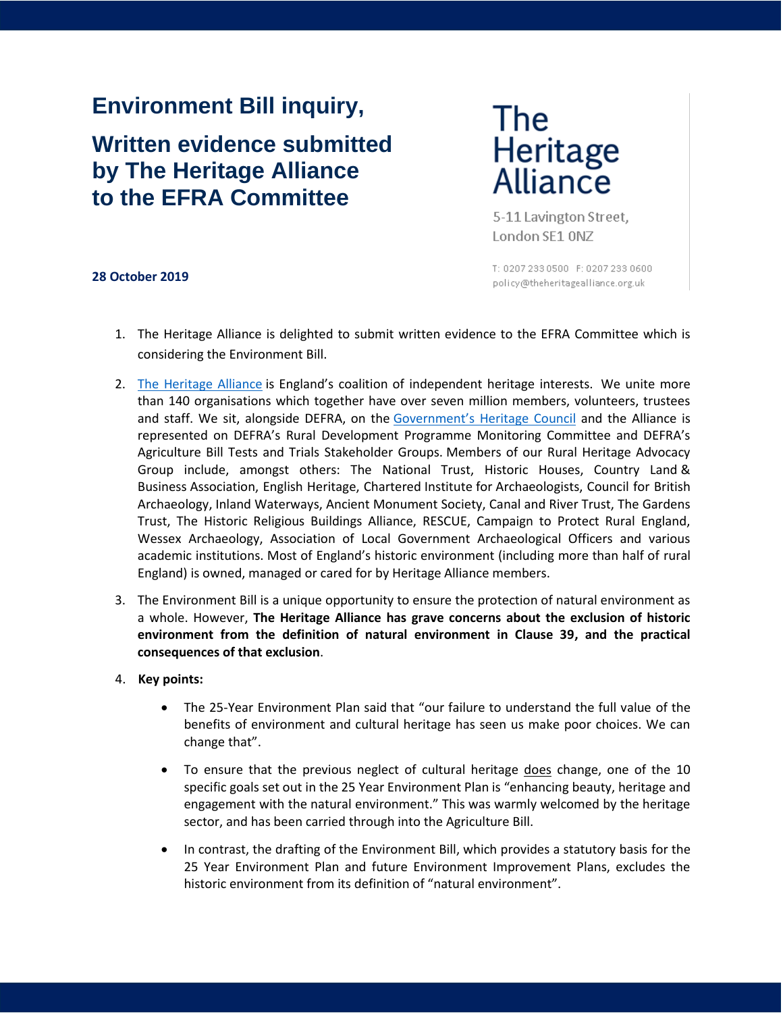# **Environment Bill inquiry,**

# **Written evidence submitted by The Heritage Alliance to the EFRA Committee**

The Heritage<br>Alliance

5-11 Lavington Street, London SE1 ONZ

#### **28 October 2019**

T: 0207 233 0500 F: 0207 233 0600 policy@theheritagealliance.org.uk

- 1. The Heritage Alliance is delighted to submit written evidence to the EFRA Committee which is considering the Environment Bill.
- 2. [The Heritage Alliance](https://www.theheritagealliance.org.uk/) is England's coalition of independent heritage interests. We unite more than 140 organisations which together have over seven million members, volunteers, trustees and staff. We sit, alongside DEFRA, on the Gover[nment's Heritage Council](https://www.gov.uk/government/groups/heritage-council) and the Alliance is represented on DEFRA's Rural Development Programme Monitoring Committee and DEFRA's Agriculture Bill Tests and Trials Stakeholder Groups. Members of our Rural Heritage Advocacy Group include, amongst others: The National Trust, Historic Houses, Country Land & Business Association, English Heritage, Chartered Institute for Archaeologists, Council for British Archaeology, Inland Waterways, Ancient Monument Society, Canal and River Trust, The Gardens Trust, The Historic Religious Buildings Alliance, RESCUE, Campaign to Protect Rural England, Wessex Archaeology, Association of Local Government Archaeological Officers and various academic institutions. Most of England's historic environment (including more than half of rural England) is owned, managed or cared for by Heritage Alliance members.
- 3. The Environment Bill is a unique opportunity to ensure the protection of natural environment as a whole. However, **The Heritage Alliance has grave concerns about the exclusion of historic environment from the definition of natural environment in Clause 39, and the practical consequences of that exclusion**.

#### 4. **Key points:**

- The 25-Year Environment Plan said that "our failure to understand the full value of the benefits of environment and cultural heritage has seen us make poor choices. We can change that".
- To ensure that the previous neglect of cultural heritage does change, one of the 10 specific goals set out in the 25 Year Environment Plan is "enhancing beauty, heritage and engagement with the natural environment." This was warmly welcomed by the heritage sector, and has been carried through into the Agriculture Bill.
- In contrast, the drafting of the Environment Bill, which provides a statutory basis for the 25 Year Environment Plan and future Environment Improvement Plans, excludes the historic environment from its definition of "natural environment".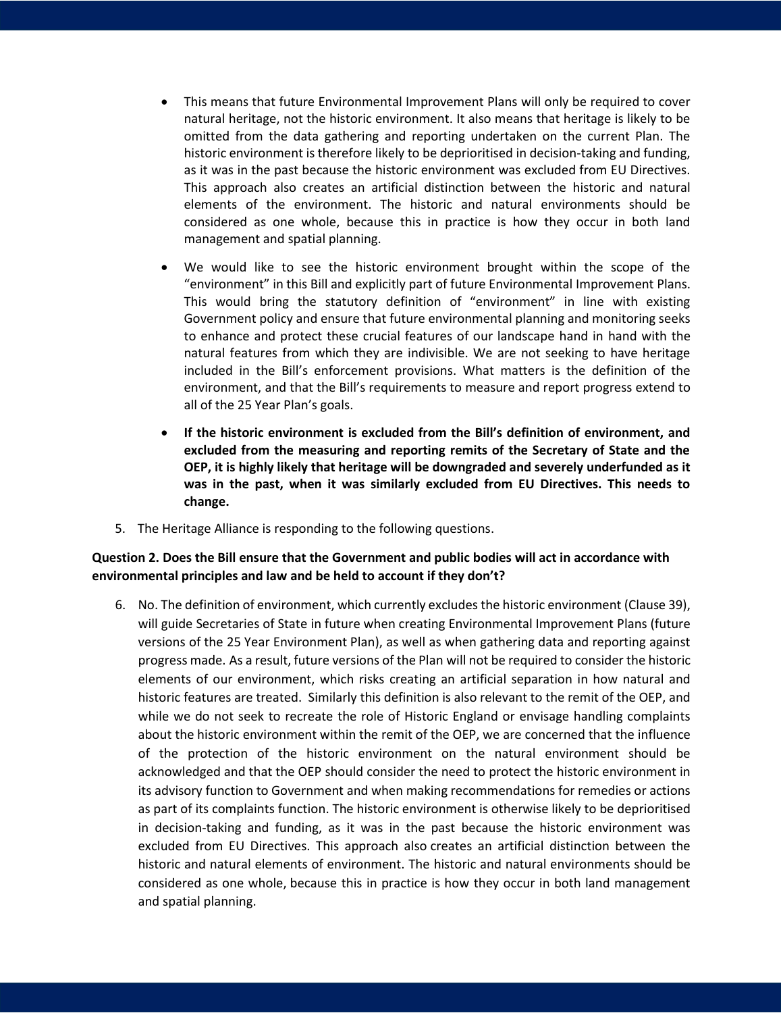- This means that future Environmental Improvement Plans will only be required to cover natural heritage, not the historic environment. It also means that heritage is likely to be omitted from the data gathering and reporting undertaken on the current Plan. The historic environment is therefore likely to be deprioritised in decision-taking and funding, as it was in the past because the historic environment was excluded from EU Directives. This approach also creates an artificial distinction between the historic and natural elements of the environment. The historic and natural environments should be considered as one whole, because this in practice is how they occur in both land management and spatial planning.
- We would like to see the historic environment brought within the scope of the "environment" in this Bill and explicitly part of future Environmental Improvement Plans. This would bring the statutory definition of "environment" in line with existing Government policy and ensure that future environmental planning and monitoring seeks to enhance and protect these crucial features of our landscape hand in hand with the natural features from which they are indivisible. We are not seeking to have heritage included in the Bill's enforcement provisions. What matters is the definition of the environment, and that the Bill's requirements to measure and report progress extend to all of the 25 Year Plan's goals.
- **If the historic environment is excluded from the Bill's definition of environment, and excluded from the measuring and reporting remits of the Secretary of State and the OEP, it is highly likely that heritage will be downgraded and severely underfunded as it was in the past, when it was similarly excluded from EU Directives. This needs to change.**
- 5. The Heritage Alliance is responding to the following questions.

## **Question 2. Does the Bill ensure that the Government and public bodies will act in accordance with environmental principles and law and be held to account if they don't?**

6. No. The definition of environment, which currently excludes the historic environment (Clause 39), will guide Secretaries of State in future when creating Environmental Improvement Plans (future versions of the 25 Year Environment Plan), as well as when gathering data and reporting against progress made. As a result, future versions of the Plan will not be required to consider the historic elements of our environment, which risks creating an artificial separation in how natural and historic features are treated. Similarly this definition is also relevant to the remit of the OEP, and while we do not seek to recreate the role of Historic England or envisage handling complaints about the historic environment within the remit of the OEP, we are concerned that the influence of the protection of the historic environment on the natural environment should be acknowledged and that the OEP should consider the need to protect the historic environment in its advisory function to Government and when making recommendations for remedies or actions as part of its complaints function. The historic environment is otherwise likely to be deprioritised in decision-taking and funding, as it was in the past because the historic environment was excluded from EU Directives. This approach also creates an artificial distinction between the historic and natural elements of environment. The historic and natural environments should be considered as one whole, because this in practice is how they occur in both land management and spatial planning.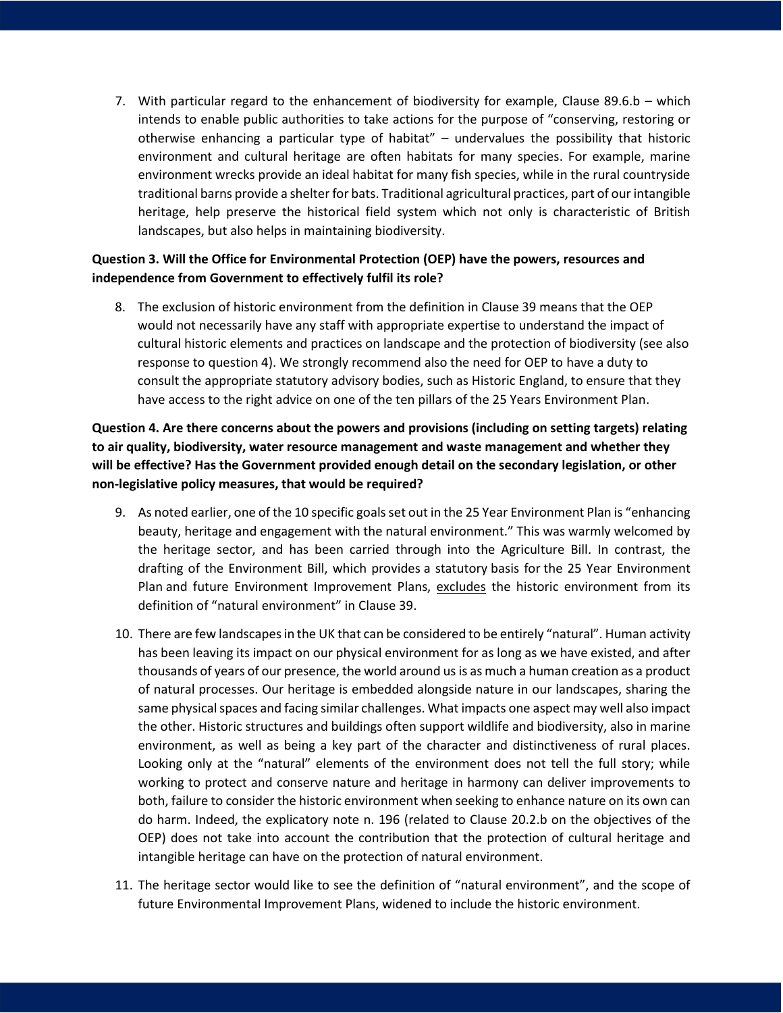7. With particular regard to the enhancement of biodiversity for example, Clause 89.6.b – which intends to enable public authorities to take actions for the purpose of "conserving, restoring or otherwise enhancing a particular type of habitat" – undervalues the possibility that historic environment and cultural heritage are often habitats for many species. For example, marine environment wrecks provide an ideal habitat for many fish species, while in the rural countryside traditional barns provide a shelter for bats. Traditional agricultural practices, part of our intangible heritage, help preserve the historical field system which not only is characteristic of British landscapes, but also helps in maintaining biodiversity.

## **Question 3. Will the Office for Environmental Protection (OEP) have the powers, resources and independence from Government to effectively fulfil its role?**

8. The exclusion of historic environment from the definition in Clause 39 means that the OEP would not necessarily have any staff with appropriate expertise to understand the impact of cultural historic elements and practices on landscape and the protection of biodiversity (see also response to question 4). We strongly recommend also the need for OEP to have a duty to consult the appropriate statutory advisory bodies, such as Historic England, to ensure that they have access to the right advice on one of the ten pillars of the 25 Years Environment Plan.

**Question 4. Are there concerns about the powers and provisions (including on setting targets) relating to air quality, biodiversity, water resource management and waste management and whether they will be effective? Has the Government provided enough detail on the secondary legislation, or other non-legislative policy measures, that would be required?**

- 9. As noted earlier, one of the 10 specific goals set out in the 25 Year Environment Plan is "enhancing beauty, heritage and engagement with the natural environment." This was warmly welcomed by the heritage sector, and has been carried through into the Agriculture Bill. In contrast, the drafting of the Environment Bill, which provides a statutory basis for the 25 Year Environment Plan and future Environment Improvement Plans, excludes the historic environment from its definition of "natural environment" in Clause 39.
- 10. There are few landscapes in the UK that can be considered to be entirely "natural". Human activity has been leaving its impact on our physical environment for as long as we have existed, and after thousands of years of our presence, the world around us is as much a human creation as a product of natural processes. Our heritage is embedded alongside nature in our landscapes, sharing the same physical spaces and facing similar challenges. What impacts one aspect may well also impact the other. Historic structures and buildings often support wildlife and biodiversity, also in marine environment, as well as being a key part of the character and distinctiveness of rural places. Looking only at the "natural" elements of the environment does not tell the full story; while working to protect and conserve nature and heritage in harmony can deliver improvements to both, failure to consider the historic environment when seeking to enhance nature on its own can do harm. Indeed, the explicatory note n. 196 (related to Clause 20.2.b on the objectives of the OEP) does not take into account the contribution that the protection of cultural heritage and intangible heritage can have on the protection of natural environment.
- 11. The heritage sector would like to see the definition of "natural environment", and the scope of future Environmental Improvement Plans, widened to include the historic environment.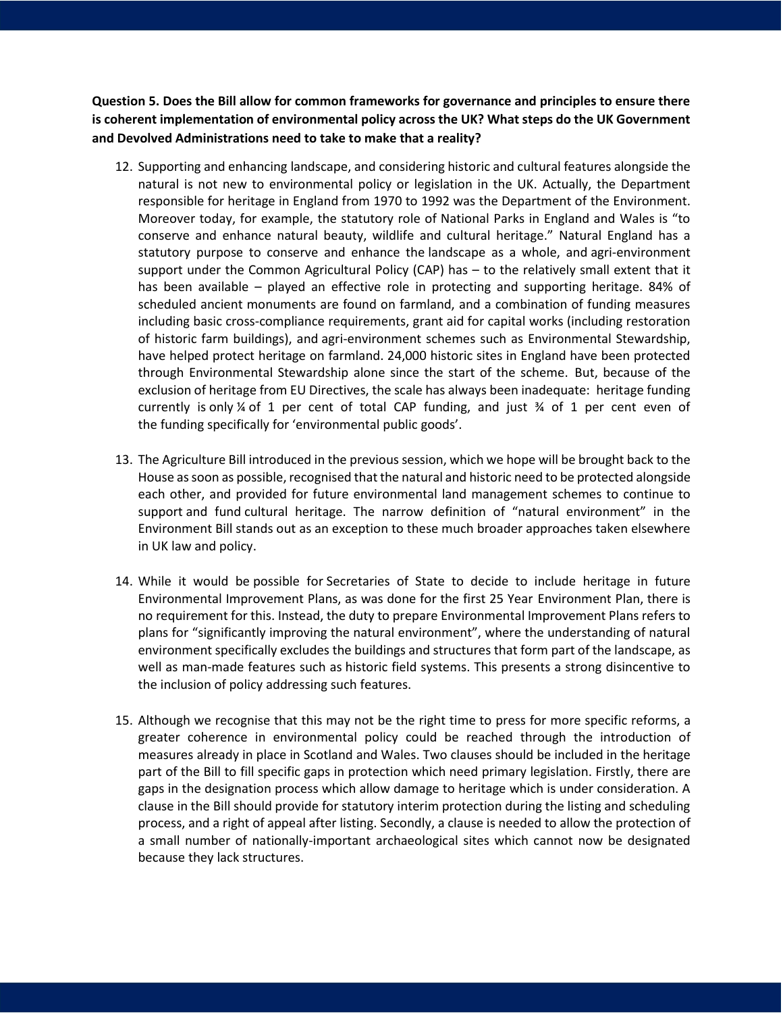**Question 5. Does the Bill allow for common frameworks for governance and principles to ensure there is coherent implementation of environmental policy across the UK? What steps do the UK Government and Devolved Administrations need to take to make that a reality?**

- 12. Supporting and enhancing landscape, and considering historic and cultural features alongside the natural is not new to environmental policy or legislation in the UK. Actually, the Department responsible for heritage in England from 1970 to 1992 was the Department of the Environment. Moreover today, for example, the statutory role of National Parks in England and Wales is "to conserve and enhance natural beauty, wildlife and cultural heritage." Natural England has a statutory purpose to conserve and enhance the landscape as a whole, and agri-environment support under the Common Agricultural Policy (CAP) has – to the relatively small extent that it has been available – played an effective role in protecting and supporting heritage. 84% of scheduled ancient monuments are found on farmland, and a combination of funding measures including basic cross-compliance requirements, grant aid for capital works (including restoration of historic farm buildings), and agri-environment schemes such as Environmental Stewardship, have helped protect heritage on farmland. 24,000 historic sites in England have been protected through Environmental Stewardship alone since the start of the scheme. But, because of the exclusion of heritage from EU Directives, the scale has always been inadequate: heritage funding currently is only  $\frac{1}{4}$  of 1 per cent of total CAP funding, and just  $\frac{1}{4}$  of 1 per cent even of the funding specifically for 'environmental public goods'.
- 13. The Agriculture Bill introduced in the previous session, which we hope will be brought back to the House as soon as possible, recognised that the natural and historic need to be protected alongside each other, and provided for future environmental land management schemes to continue to support and fund cultural heritage. The narrow definition of "natural environment" in the Environment Bill stands out as an exception to these much broader approaches taken elsewhere in UK law and policy.
- 14. While it would be possible for Secretaries of State to decide to include heritage in future Environmental Improvement Plans, as was done for the first 25 Year Environment Plan, there is no requirement for this. Instead, the duty to prepare Environmental Improvement Plans refers to plans for "significantly improving the natural environment", where the understanding of natural environment specifically excludes the buildings and structures that form part of the landscape, as well as man-made features such as historic field systems. This presents a strong disincentive to the inclusion of policy addressing such features.
- 15. Although we recognise that this may not be the right time to press for more specific reforms, a greater coherence in environmental policy could be reached through the introduction of measures already in place in Scotland and Wales. Two clauses should be included in the heritage part of the Bill to fill specific gaps in protection which need primary legislation. Firstly, there are gaps in the designation process which allow damage to heritage which is under consideration. A clause in the Bill should provide for statutory interim protection during the listing and scheduling process, and a right of appeal after listing. Secondly, a clause is needed to allow the protection of a small number of nationally-important archaeological sites which cannot now be designated because they lack structures.